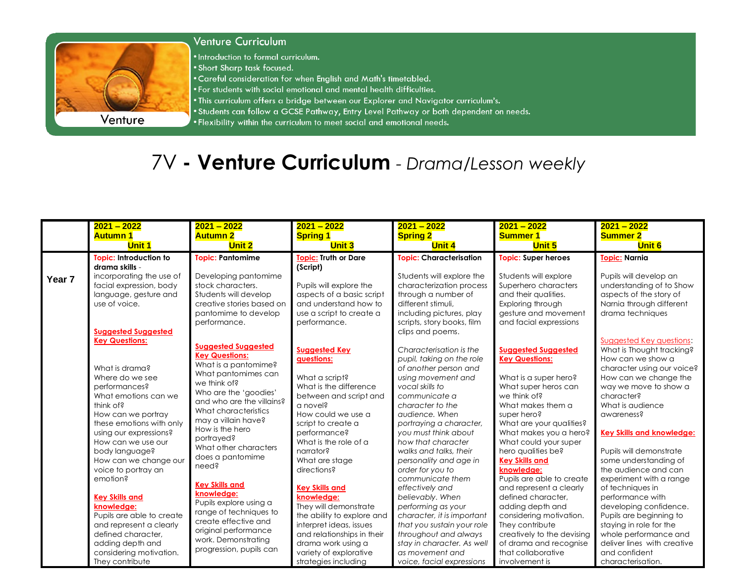

## **Venture Curriculum**

. Introduction to formal curriculum.

- . Short Sharp task focused.
- . Careful consideration for when English and Math's timetabled.
- . For students with social emotional and mental health difficulties.
- . This curriculum offers a bridge between our Explorer and Navigator curriculum's.
- . Students can follow a GCSE Pathway, Entry Level Pathway or both dependent on needs.
- . Flexibility within the curriculum to meet social and emotional needs.

## 7V - Venture Curriculum - Drama/Lesson weekly

|                   | $2021 - 2022$<br><b>Autumn 1</b><br><b>Unit 1</b>                                                                                                                                                                                                                                                | $2021 - 2022$<br><b>Autumn 2</b><br><b>Unit 2</b>                                                                                                                                                                                                                                                                                       | $2021 - 2022$<br><b>Spring 1</b><br><b>Unit 3</b>                                                                                                                                                                                                       | $2021 - 2022$<br><b>Spring 2</b><br><b>Unit 4</b>                                                                                                                                                                                                                                                                                                  | $2021 - 2022$<br><b>Summer 1</b><br><b>Unit 5</b>                                                                                                                                                                                                                                                                                 | $2021 - 2022$<br><b>Summer 2</b><br><b>Unit 6</b>                                                                                                                                                                                                                                                                                                     |
|-------------------|--------------------------------------------------------------------------------------------------------------------------------------------------------------------------------------------------------------------------------------------------------------------------------------------------|-----------------------------------------------------------------------------------------------------------------------------------------------------------------------------------------------------------------------------------------------------------------------------------------------------------------------------------------|---------------------------------------------------------------------------------------------------------------------------------------------------------------------------------------------------------------------------------------------------------|----------------------------------------------------------------------------------------------------------------------------------------------------------------------------------------------------------------------------------------------------------------------------------------------------------------------------------------------------|-----------------------------------------------------------------------------------------------------------------------------------------------------------------------------------------------------------------------------------------------------------------------------------------------------------------------------------|-------------------------------------------------------------------------------------------------------------------------------------------------------------------------------------------------------------------------------------------------------------------------------------------------------------------------------------------------------|
| Year <sub>7</sub> | Topic: Introduction to<br>drama skills -<br>incorporating the use of<br>facial expression, body<br>language, gesture and<br>use of voice.<br><b>Suggested Suggested</b>                                                                                                                          | <b>Topic: Pantomime</b><br>Developing pantomime<br>stock characters.<br>Students will develop<br>creative stories based on<br>pantomime to develop<br>performance.                                                                                                                                                                      | <b>Topic: Truth or Dare</b><br>(Script)<br>Pupils will explore the<br>aspects of a basic script<br>and understand how to<br>use a script to create a<br>performance.                                                                                    | <b>Topic: Characterisation</b><br>Students will explore the<br>characterization process<br>through a number of<br>different stimuli.<br>including pictures, play<br>scripts, story books, film<br>clips and poems.                                                                                                                                 | <b>Topic: Super heroes</b><br>Students will explore<br>Superhero characters<br>and their qualities.<br>Exploring through<br>gesture and movement<br>and facial expressions                                                                                                                                                        | <b>Topic: Narnia</b><br>Pupils will develop an<br>understanding of to Show<br>aspects of the story of<br>Narnia through different<br>drama techniques                                                                                                                                                                                                 |
|                   | <b>Key Questions:</b><br>What is drama?<br>Where do we see<br>performances?<br>What emotions can we<br>think of?<br>How can we portray<br>these emotions with only<br>using our expressions?<br>How can we use our<br>body language?<br>How can we change our<br>voice to portray an<br>emotion? | <b>Suggested Suggested</b><br><b>Key Questions:</b><br>What is a pantomime?<br>What pantomimes can<br>we think of?<br>Who are the 'goodies'<br>and who are the villains?<br>What characteristics<br>may a villain have?<br>How is the hero<br>portrayed?<br>What other characters<br>does a pantomime<br>need?<br><b>Key Skills and</b> | <b>Suggested Key</b><br>questions:<br>What a script?<br>What is the difference<br>between and script and<br>a novel?<br>How could we use a<br>script to create a<br>performance?<br>What is the role of a<br>narrator?<br>What are stage<br>directions? | Characterisation is the<br>pupil, taking on the role<br>of another person and<br>using movement and<br>vocal skills to<br>communicate a<br>character to the<br>audience, When<br>portraying a character,<br>you must think about<br>how that character<br>walks and talks, their<br>personality and age in<br>order for you to<br>communicate them | <b>Suggested Suggested</b><br><b>Key Questions:</b><br>What is a super hero?<br>What super heros can<br>we think of?<br>What makes them a<br>super hero?<br>What are your qualities?<br>What makes you a hero?<br>What could your super<br>hero qualities be?<br><b>Key Skills and</b><br>knowledge:<br>Pupils are able to create | Suggested Key questions:<br>What is Thought tracking?<br>How can we show a<br>character using our voice?<br>How can we change the<br>way we move to show a<br>character?<br>What is audience<br>awareness?<br><b>Key Skills and knowledge:</b><br>Pupils will demonstrate<br>some understanding of<br>the audience and can<br>experiment with a range |
|                   | <b>Key Skills and</b><br>knowledge:<br>Pupils are able to create<br>and represent a clearly<br>defined character,<br>adding depth and<br>considering motivation.<br>They contribute                                                                                                              | knowledge:<br>Pupils explore using a<br>range of techniques to<br>create effective and<br>original performance<br>work. Demonstrating<br>progression, pupils can                                                                                                                                                                        | <b>Key Skills and</b><br>knowledge:<br>They will demonstrate<br>the ability to explore and<br>interpret ideas, issues<br>and relationships in their<br>drama work using a<br>variety of explorative<br>strategies including                             | effectively and<br>believably. When<br>performing as your<br>character, it is important<br>that you sustain your role<br>throughout and always<br>stay in character. As well<br>as movement and<br>voice, facial expressions                                                                                                                       | and represent a clearly<br>defined character.<br>adding depth and<br>considering motivation.<br>They contribute<br>creatively to the devising<br>of drama and recognise<br>that collaborative<br>involvement is                                                                                                                   | of techniques in<br>performance with<br>developing confidence.<br>Pupils are beginning to<br>staying in role for the<br>whole performance and<br>deliver lines with creative<br>and confident<br>characterisation.                                                                                                                                    |